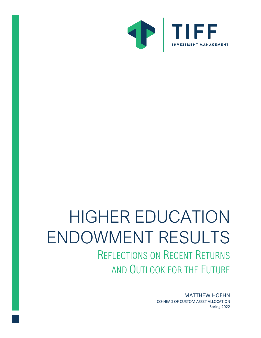

# HIGHER EDUCATION ENDOWMENT RESULTS REFLECTIONS ON RECENT RETURNS

AND OUTLOOK FOR THE FUTURE

MATTHEW HOEHN CO-HEAD OF CUSTOM ASSET ALLOCATION Spring 2022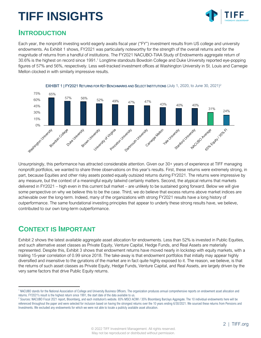

#### **INTRODUCTION**

Each year, the nonprofit investing world eagerly awaits fiscal year ("FY") investment results from US college and university endowments. As Exhibit 1 shows, FY2021 was particularly noteworthy for the strength of the overall returns and for the magnitude of returns from a handful of institutions. The FY2021 NACUBO-TIAA Study of Endowments aggregate return of 30.6% is the highest on record since 1991. <sup>1</sup> Longtime standouts Bowdoin College and Duke University reported eye-popping figures of 57% and 56%, respectively. Less well-tracked investment offices at Washington University in St. Louis and Carnegie Mellon clocked in with similarly impressive results.



Unsurprisingly, this performance has attracted considerable attention. Given our 30+ years of experience at TIFF managing nonprofit portfolios, we wanted to share three observations on this year's results. First, these returns were extremely strong, in part, because Equities and other risky assets posted equally outsized returns during FY2021. The returns were impressive by any measure, but the context of a meaningful equity tailwind certainly matters. Second, the atypical returns that markets delivered in FY2021 – high even in this current bull market – are unlikely to be sustained going forward. Below we will give some perspective on why we believe this to be the case. Third, we do believe that excess returns above market indices are achievable over the long-term. Indeed, many of the organizations with strong FY2021 results have a long history of outperformance. The same foundational investing principles that appear to underly these strong results have, we believe, contributed to our own long-term outperformance.

### **CONTEXT IS IMPORTANT**

Exhibit 2 shows the latest available aggregate asset allocation for endowments. Less than 52% is invested in Public Equities, and such alternative asset classes as Private Equity, Venture Capital, Hedge Funds, and Real Assets are materially represented. Despite this, Exhibit 3 shows that endowment returns have moved nearly in lockstep with equity markets, with a trailing 15-year correlation of 0.99 since 2018. The take-away is that endowment portfolios that initially may appear highly diversified and insensitive to the gyrations of the market are in fact quite highly exposed to it. The reason, we believe, is that the returns of such asset classes as Private Equity, Hedge Funds, Venture Capital, and Real Assets, are largely driven by the very same factors that drive Public Equity returns.

<sup>1</sup> NACUBO stands for the National Association of College and University Business Officers. The organization produces annual comprehensive reports on endowment asset allocation and returns. FY2021's result is the highest return since 1991, the start date of the data available to us.

<sup>&</sup>lt;sup>2</sup> Sources: NACUBO Fiscal 2021 report, Bloomberg, and each institution's website. 65% MSCI ACWI / 35% Bloomberg Barclays Aggregate. The 10 individual endowments here will be referenced throughout the paper and were selected for inclusion based on having the strongest returns over the 10 years ending 6/30/2021. We sourced these returns from Pensions and Investments. We excluded any endowments for which we were not able to locate a publicly available asset allocation.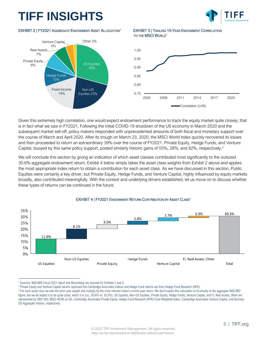

#### EXHIBIT 2 | FY2021 AGGREGATE ENDOWMENT ASSET ALLOCATION<sup>3</sup>



**EXHIBIT 3 | TRAILING 15-YEAR ENDOWMENT CORRELATION** TO THE MSCI WORLD<sup>3</sup>



Given this extremely high correlation, one would expect endowment performance to track the equity market quite closely; that is in fact what we saw in FY2021. Following the initial COVID-19 shutdown of the US economy in March 2020 and the subsequent market sell-off, policy makers responded with unprecedented amounts of both fiscal and monetary support over the course of March and April 2020. After its trough on March 23, 2020, the MSCI World Index quickly recovered its losses and then proceeded to return an extraordinary 39% over the course of FY2021. Private Equity, Hedge Funds, and Venture Capital, buoyed by this same policy support, posted similarly historic gains of 55%, 28%, and 82%, respectively.<sup>4</sup>

We will conclude this section by giving an indication of which asset classes contributed most significantly to the outsized 30.6% aggregate endowment return. Exhibit 4 below simply takes the asset class weights from Exhibit 2 above and applies the most appropriate index return to obtain a contribution for each asset class. As we have discussed in this section, Public Equities were certainly a key driver, but Private Equity, Hedge Funds, and Venture Capital, highly influenced by equity markets broadly, also contributed meaningfully. With the context and underlying drivers established, let us move on to discuss whether these types of returns can be continued in the future.



#### EXHIBIT 4 | FY2021 ENDOWMENT RETURN CONTRIBUTION BY ASSET CLASS<sup>5</sup>

4 Private Equity and Venture Capital returns represent the Cambridge Associates indices and Hedge Fund returns are from Hedge Fund Research (HFR).

<sup>&</sup>lt;sup>3</sup> Sources: NACUBO Fiscal 2021 report and Bloomberg are sourced for Exhibits 2 and 3.

<sup>&</sup>lt;sup>5</sup> For each asset class we take the prior-year weight and multiply by the most relevant index's current-year return. We don't expect this calculation to tie exactly to the aggregate NACUBO figure, but we do expect it to be quite close, which it is (i.e., 30.6% vs. 30.3%). US Equities, Non-US Equities, Private Equity, Hedge Funds, Venture Capital, and FI, Real Assets, Other are represented by S&P 500, MSCI ACWI ex US, Cambridge Associates Private Equity, Hedge Fund Research (HFR) Fund Weighted Index, Cambridge Associates Venture Capital, and Barclays US Aggregate indices, respectively.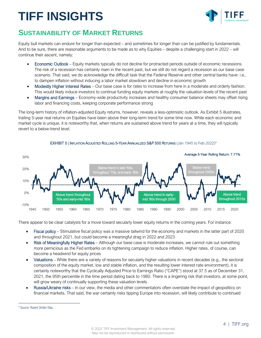

### **SUSTAINABILITY OF MARKET RETURNS**

Equity bull markets can endure for longer than expected – and sometimes for longer than can be justified by fundamentals. And to be sure, there are reasonable arguments to be made as to why Equities – despite a challenging start in 2022 – will continue their ascent, namely:

- Economic Outlook Equity markets typically do not decline for protracted periods outside of economic recessions. The risk of a recession has certainly risen in the recent past, but we still do not regard a recession as our base case scenario. That said, we do acknowledge the difficult task that the Federal Reserve and other central banks have: i.e., to dampen inflation without inducing a labor market slowdown and decline in economic growth
- Modestly Higher Interest Rates Our base case is for rates to increase from here in a moderate and orderly fashion. This would likely induce investors to continue funding equity markets at roughly the valuation levels of the recent past
- Margins and Earnings Economy-wide productivity increases and healthy consumer balance sheets may offset rising labor and financing costs, keeping corporate performance strong

The long-term history of inflation-adjusted Equity returns, however, reveals a less-optimistic outlook. As Exhibit 5 illustrates, trailing 5-year real returns on Equities have been above their long-term trend for some time now. While each economic and market cycle is unique, it is noteworthy that, when returns are sustained above trend for years at a time, they will typically revert to a below-trend level.



#### $\mathsf{EXHIBIT}$  5 | INFLATION ADJUSTED ROLLING 5-YEAR ANNUALIZED  $\mathsf{S\&P}$  500 RETURNS (Jan 1945 to Feb 2022) $^6$

There appear to be clear catalysts for a move toward secularly lower equity returns in the coming years. For instance:

- Fiscal policy Stimulative fiscal policy was a massive tailwind for the economy and markets in the latter part of 2020 and throughout 2021, but could become a meaningful drag in 2022 and 2023
- Risk of Meaningfully Higher Rates Although our base case is moderate increases, we cannot rule out something more pernicious as the Fed embarks on its tightening campaign to reduce inflation. Higher rates, of course, can become a headwind for equity prices
- Valuations While there are a variety of reasons for secularly higher valuations in recent decades (e.g., the sectoral composition of the equity market, low and stable inflation, and the resulting lower interest rate environment), it is certainly noteworthy that the Cyclically Adjusted Price to Earnings Ratio ("CAPE") stood at 37.5 as of December 31, 2021, the 95th percentile in the time period dating back to 1980. There is a lingering risk that investors, at some point, will grow weary of continually supporting these valuation levels
- Russia/Ukraine risks In our view, the media and other commentators often overstate the impact of geopolitics on financial markets. That said, the war certainly risks tipping Europe into recession, will likely contribute to continued

<sup>6</sup> Source: Robert Shiller Data.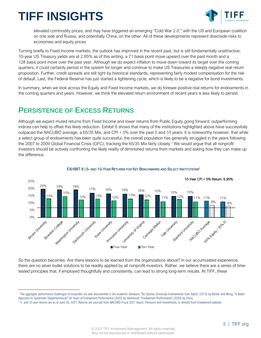

elevated commodity prices, and may have triggered an emerging "Cold War 2.0," with the US and European coalition on one side and Russia, and potentially China, on the other. All of these developments represent downside risks to economies and equity prices

Turning briefly to Fixed Income markets, the outlook has improved in the recent past, but is still fundamentally unattractive: 10-year US Treasury yields are at 2.85% as of this writing, a 71 basis point move upward over the past month and a 128 basis point move over the past year. Although we do expect inflation to move down toward its target over the coming quarters, it could certainly persist in the system for longer and continue to make US Treasuries a steeply negative real return proposition. Further, credit spreads are still tight by historical standards, representing fairly modest compensation for the risk of default. Last, the Federal Reserve has just started a tightening cycle, which is likely to be a negative for bond investments.

In summary, when we look across the Equity and Fixed Income markets, we do foresee positive real returns for endowments in the coming quarters and years. However, we think the elevated return environment of recent years is less likely to persist.

### **PERSISTENCE OF EXCESS RETURNS**

Although we expect muted returns from Fixed Income and lower returns from Public Equity going forward, outperforming indices can help to offset this likely reduction. Exhibit 6 shows that many of the institutions highlighted above have successfully outpaced the NACUBO average, a 65/35 Mix, and CPI + 5% over the past 5 and 10 years. It is noteworthy however, that while a select group of endowments has been quite successful, the overall population has generally struggled in the years following the 2007 to 2009 Global Financial Crisis (GFC), tracking the 65/35 Mix fairly closely.<sup>7</sup> We would argue that all nonprofit investors should be actively confronting the likely reality of diminished returns from markets and asking how they can make up the difference.





So the question becomes: Are there lessons to be learned from the organizations above? In our accumulated experience, there are no silver-bullet solutions to be readily applied by all nonprofit investors. Rather, we believe there are a series of timetested principles that, if employed thoughtfully and consistently, can lead to strong long-term results. At TIFF, these

<sup>7</sup> The aggregate performance challenges of nonprofits are well documented in the academic literature: "Do (Some) University Endowments Earn Alpha" (2013) by Barber and Wang; "A Better Approach to Systematic Outperformance? 58 Years of Endowment Performance (2020) by Hammond; "Endowment Performance" (2020) by Ennis.

<sup>&</sup>lt;sup>8</sup> 5- and 10-year returns are as of June 30, 2021. Returns are sourced from NACUBO Fiscal 2021 report, Pensions and Investments, or directly from Endowment website.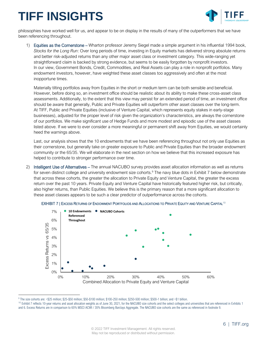

philosophies have worked well for us, and appear to be on display in the results of many of the outperformers that we have been referencing throughout.

1) Equities as the Cornerstone – Wharton professor Jeremy Siegel made a simple argument in his influential 1994 book, *Stocks for the Long Run*: Over long periods of time, investing in Equity markets has delivered strong absolute returns and better risk-adjusted returns than any other major asset class or investment category. This wide-ranging yet straightforward claim is backed by strong evidence, but seems to be easily forgotten by nonprofit investors. In our view, Government Bonds, Credit, Commodities, and Real Assets can play a role in nonprofit portfolios. Many endowment investors, however, have weighted these asset classes too aggressively and often at the most inopportune times.

Materially tilting portfolios away from Equities in the short or medium term can be both sensible and beneficial. However, before doing so, an investment office should be realistic about its ability to make these cross-asset class assessments. Additionally, to the extent that this view may persist for an extended period of time, an investment office should be aware that generally, Public and Private Equities will outperform other asset classes over the long-term. At TIFF, Public and Private Equities (inclusive of Venture Capital, which represents equity stakes in early-stage businesses), adjusted for the proper level of risk given the organization's characteristics, are always the cornerstone of our portfolios. We make significant use of Hedge Funds and more modest and episodic use of the asset classes listed above. If we were to ever consider a more meaningful or permanent shift away from Equities, we would certainly heed the warnings above.

Last, our analysis shows that the 10 endowments that we have been referencing throughout not only use Equities as their cornerstone, but generally take on greater exposure to Public and Private Equities than the broader endowment community or the 65/35. We will elaborate in the next section on how we believe that this increased exposure has helped to contribute to stronger performance over time.

2) Intelligent Use of Alternatives – The annual NACUBO survey provides asset allocation information as well as returns for seven distinct college and university endowment size cohorts. <sup>9</sup> The navy blue dots in Exhibit 7 below demonstrate that across these cohorts, the greater the allocation to Private Equity and Venture Capital, the greater the excess return over the past 10 years. Private Equity and Venture Capital have historically featured higher risk, but critically, also higher returns, than Public Equities. We believe this is the primary reason that a more significant allocation to these asset classes appears to be such a clear predictor of outperformance across the cohorts.





<sup>10</sup> Exhibit 7 reflects 10-year returns and asset allocation weights as of June 30, 2021, for the NACUBO size cohorts and the select colleges and universities that are referenced in Exhibits 1 and 6. Excess Returns are in comparison to 65% MSCI ACWI / 35% Bloomberg Barclays Aggregate. The NACUBO size cohorts are the same as referenced in footnote 9.

 $^9$  The size cohorts are: <\$25 million; \$25-\$50 million; \$50-\$100 million; \$100-250 million; \$250-500 million; \$500-1 billion; and >\$1 billion.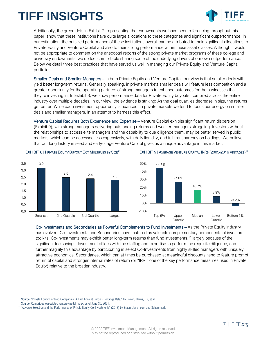

Additionally, the green dots in Exhibit 7, representing the endowments we have been referencing throughout this paper, show that these institutions have quite large allocations to these categories and significant outperformance. In our estimation, the outsized performance of these institutions overall can be attributed to their significant allocations to Private Equity and Venture Capital and also to their strong performance within these asset classes. Although it would not be appropriate to comment on the anecdotal reports of the strong private market programs of these college and university endowments, we do feel comfortable sharing some of the underlying drivers of our own outperformance. Below we detail three best practices that have served us well in managing our Private Equity and Venture Capital portfolios.

Smaller Deals and Smaller Managers – In both Private Equity and Venture Capital, our view is that smaller deals will yield better long-term returns. Generally speaking, in private markets smaller deals will feature less competition and a greater opportunity for the operating partners of strong managers to enhance outcomes for the businesses that they're investing in. In Exhibit 8, we show performance data for Private Equity buyouts, compiled across the entire industry over multiple decades. In our view, the evidence is striking: As the deal quartiles decrease in size, the returns get better. While each investment opportunity is nuanced, in private markets we tend to focus our energy on smaller deals and smaller managers, in an attempt to harness this effect.

Venture Capital Requires Both Experience and Expertise – Venture Capital exhibits significant return dispersion (Exhibit 9), with strong managers delivering outstanding returns and weaker managers struggling. Investors without the relationships to access elite managers and the capability to due diligence them, may be better served in public markets, which can be accessed less expensively, with daily liquidity, and full transparency on holdings. We believe that our long history in seed and early-stage Venture Capital gives us a unique advantage in this market.



#### EXHIBIT 8 | PRIVATE EQUITY BUYOUT EXIT MULTIPLES BY SIZE<sup>11</sup>

#### EXHIBIT 9 | AVERAGE VENTURE CAPITAL IRRS (2005-2016 VINTAGES) 12



Co-Investments and Secondaries as Powerful Complements to Fund Investments – As the Private Equity industry has evolved, Co-Investments and Secondaries have matured as valuable complementary components of investors' toolkits. Co-Investments may exhibit better long-term returns than fund investments,<sup>13</sup> largely because of the significant fee savings. Investment offices with the staffing and expertise to perform the requisite diligence, can further magnify this advantage by participating in select Co-Investments from highly skilled managers with uniquely attractive economics. Secondaries, which can at times be purchased at meaningful discounts, tend to feature prompt return of capital and stronger internal rates of return (or "IRR," one of the key performance measures used in Private Equity) relative to the broader industry.

<sup>&</sup>lt;sup>11</sup> Source: "Private Equity Portfolio Companies: A First Look at Burgiss Holdings Data," by Brown, Harris, Hu, et al.

<sup>&</sup>lt;sup>12</sup> Source: Cambridge Associates venture capital index, as of June 30, 2021.

<sup>&</sup>lt;sup>13</sup> "Adverse Selection and the Performance of Private Equity Co-Investments" (2018) by Braun, Jenkinson, and Schemmerl.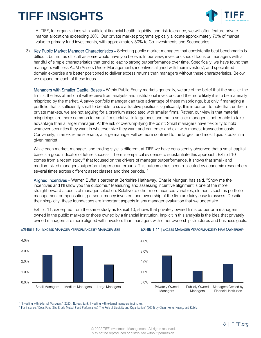

At TIFF, for organizations with sufficient financial health, liquidity, and risk tolerance, we will often feature private market allocations exceeding 30%. Our private market programs typically allocate approximately 70% of market value to primary fund investments, with approximately 30% to Co-Investments and Secondaries.

3) Key Public Market Manager Characteristics – Selecting public market managers that consistently beat benchmarks is difficult, but not as difficult as some would have you believe. In our view, investors should focus on managers with a handful of simple characteristics that tend to lead to strong outperformance over time. Specifically, we have found that managers with less AUM (Assets Under Management), incentives aligned with their investors', and specialized domain expertise are better positioned to deliver excess returns than managers without these characteristics. Below we expand on each of these ideas.

Managers with Smaller Capital Bases – Within Public Equity markets generally, we are of the belief that the smaller the firm is, the less attention it will receive from analysts and institutional investors, and the more likely it is to be materially mispriced by the market. A savvy portfolio manager can take advantage of these mispricings, but only if managing a portfolio that is sufficiently small to be able to size attractive positions significantly. It is important to note that, unlike in private markets, we are not arguing for a premium associated with smaller firms. Rather, our view is that material mispricings are more common for small firms relative to large ones and that a smaller manager is better able to take advantage than a larger manager. At the risk of oversimplifying the point: Small managers have flexibility to hold whatever securities they want in whatever size they want and can enter and exit with modest transaction costs. Conversely, in an extreme scenario, a large manager will be more confined to the largest and most liquid stocks in a given market.

While each market, manager, and trading style is different, at TIFF we have consistently observed that a small capital base is a good indicator of future success. There is empirical evidence to substantiate this approach. Exhibit 10 comes from a recent study<sup>14</sup> that focused on the drivers of manager outperformance. It shows that small- and medium-sized managers outperform larger counterparts. This outcome has been replicated by academic researchers several times across different asset classes and time periods.<sup>15</sup>

Aligned Incentives – Warren Buffet's partner at Berkshire Hathaway, Charlie Munger, has said, "Show me the incentives and I'll show you the outcome." Measuring and assessing incentive alignment is one of the more straightforward aspects of manager selection. Relative to other more nuanced variables, elements such as portfolio management compensation, personal money invested, and ownership of the firm are fairly easy to assess. Despite their simplicity, these foundations are important aspects in any manager evaluation that we undertake.

Exhibit 11, excerpted from the same study as Exhibit 10, shows that privately owned firms outperform managers owned in the public markets or those owned by a financial institution. Implicit in this analysis is the idea that privately owned managers are more aligned with investors than managers with other ownership structures and business goals.







<sup>&</sup>lt;sup>14</sup> "Investing with External Managers" (2020), Norges Bank, Investing with external managers (nbim.no).

<sup>15</sup> For instance, "Does Fund Size Erode Mutual Fund Performance? The Role of Liquidity and Organization" (2004) by Chen, Hong, Huang, and Kubik.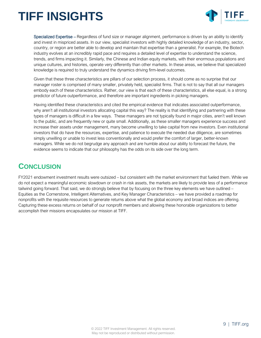

Specialized Expertise – Regardless of fund size or manager alignment, performance is driven by an ability to identify and invest in mispriced assets. In our view, specialist investors with highly detailed knowledge of an industry, sector, country, or region are better able to develop and maintain that expertise than a generalist. For example, the Biotech industry evolves at an incredibly rapid pace and requires a detailed level of expertise to understand the science, trends, and firms impacting it. Similarly, the Chinese and Indian equity markets, with their enormous populations and unique cultures, and histories, operate very differently than other markets. In these areas, we believe that specialized knowledge is required to truly understand the dynamics driving firm-level outcomes.

Given that these three characteristics are pillars of our selection process, it should come as no surprise that our manager roster is comprised of many smaller, privately held, specialist firms. That is not to say that all our managers embody each of these characteristics. Rather, our view is that each of these characteristics, all else equal, is a strong predictor of future outperformance, and therefore are important ingredients in picking managers.

Having identified these characteristics and cited the empirical evidence that indicates associated outperformance, why aren't all institutional investors allocating capital this way? The reality is that identifying and partnering with these types of managers is difficult in a few ways. These managers are not typically found in major cities, aren't well known to the public, and are frequently new or quite small. Additionally, as these smaller managers experience success and increase their assets under management, many become unwilling to take capital from new investors. Even institutional investors that do have the resources, expertise, and patience to execute the needed due diligence, are sometimes simply unwilling or unable to invest less conventionally and would prefer the comfort of larger, better-known managers. While we do not begrudge any approach and are humble about our ability to forecast the future, the evidence seems to indicate that our philosophy has the odds on its side over the long term.

#### **CONCLUSION**

FY2021 endowment investment results were outsized – but consistent with the market environment that fueled them. While we do not expect a meaningful economic slowdown or crash in risk assets, the markets are likely to provide less of a performance tailwind going forward. That said, we do strongly believe that by focusing on the three key elements we have outlined – Equities as the Cornerstone, Intelligent Alternatives, and Key Manager Characteristics – we have provided a roadmap for nonprofits with the requisite resources to generate returns above what the global economy and broad indices are offering. Capturing these excess returns on behalf of our nonprofit members and allowing these honorable organizations to better accomplish their missions encapsulates our mission at TIFF.